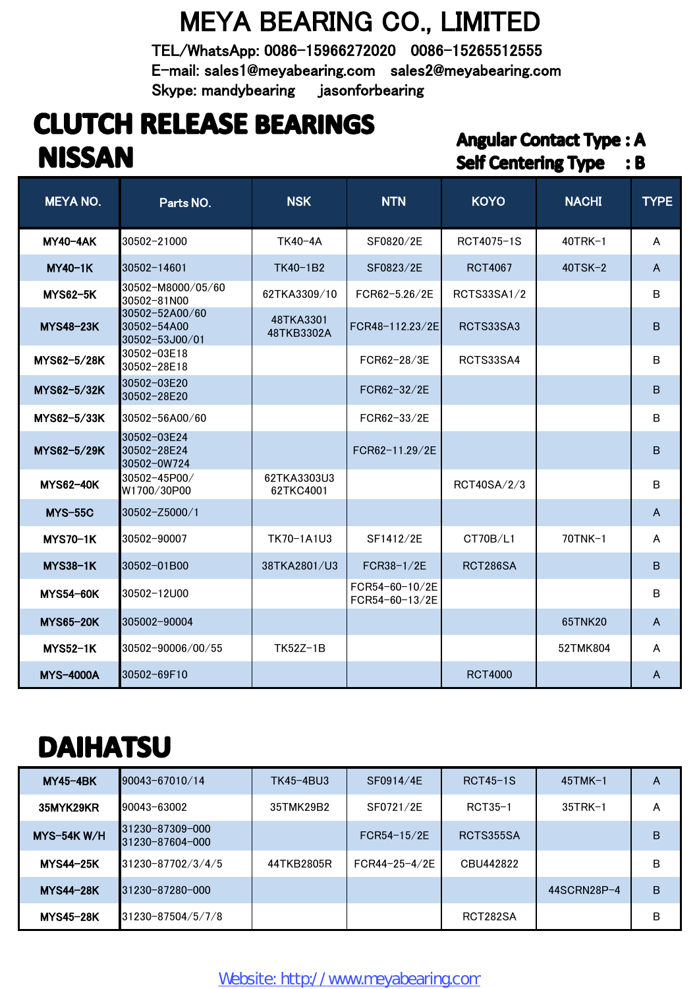#### MEYA BEARING CO., LIMITED

TEL/WhatsApp: 0086-15966272020 0086-15265512555 E-mail: sales1@meyabearing.com sales2@meyabearing.com Skype: mandybearing jasonforbearing

#### **CLUTCH RELEASE BEARINGS NISSAN**

#### **Angular Contact Type: A Self Centering Type : B**

| <b>MEYA NO.</b>  | Parts NO.                                       | <b>NSK</b>               | <b>NTN</b>                       | <b>KOYO</b>    | <b>NACHI</b> | <b>TYPE</b>    |
|------------------|-------------------------------------------------|--------------------------|----------------------------------|----------------|--------------|----------------|
| <b>MY40-4AK</b>  | 30502-21000                                     | TK40-4A                  | SF0820/2E                        | RCT4075-1S     | $40TRK-1$    | A              |
| $MY40-1K$        | 30502-14601                                     | TK40-1B2                 | SF0823/2E                        | <b>RCT4067</b> | $40TSK-2$    | $\mathsf{A}$   |
| <b>MYS62-5K</b>  | 30502-M8000/05/60<br>30502-81N00                | 62TKA3309/10             | FCR62-5.26/2E                    | RCTS33SA1/2    |              | B              |
| <b>MYS48-23K</b> | 30502-52A00/60<br>30502-54A00<br>30502-53J00/01 | 48TKA3301<br>48TKB3302A  | FCR48-112.23/2E                  | RCTS33SA3      |              | B              |
| MYS62-5/28K      | 30502-03E18<br>30502-28E18                      |                          | FCR62-28/3E                      | RCTS33SA4      |              | B              |
| MYS62-5/32K      | 30502-03E20<br>30502-28E20                      |                          | FCR62-32/2E                      |                |              | B              |
| MYS62-5/33K      | 30502-56A00/60                                  |                          | FCR62-33/2E                      |                |              | В              |
| MYS62-5/29K      | 30502-03E24<br>30502-28E24<br>30502-0W724       |                          | FCR62-11.29/2E                   |                |              | B              |
| <b>MYS62-40K</b> | 30502-45P00/<br>W1700/30P00                     | 62TKA3303U3<br>62TKC4001 |                                  | RCT40SA/2/3    |              | B              |
| <b>MYS-55C</b>   | $30502 - Z5000 / 1$                             |                          |                                  |                |              | A              |
| <b>MYS70-1K</b>  | 30502-90007                                     | TK70-1A1U3               | SF1412/2E                        | CT70B/L1       | 70TNK-1      | A              |
| <b>MYS38-1K</b>  | 30502-01B00                                     | 38TKA2801/U3             | $FCR38-1/2E$                     | RCT286SA       |              | B              |
| <b>MYS54-60K</b> | 30502-12U00                                     |                          | FCR54-60-10/2E<br>FCR54-60-13/2E |                |              | В              |
| <b>MYS65-20K</b> | 305002-90004                                    |                          |                                  |                | 65TNK20      | $\overline{A}$ |
| <b>MYS52-1K</b>  | 30502-90006/00/55                               | TK52Z-1B                 |                                  |                | 52TMK804     | A              |
| <b>MYS-4000A</b> | 30502-69F10                                     |                          |                                  | <b>RCT4000</b> |              | A              |

## **DAIHATSU**

| <b>MY45-4BK</b>  | $190043 - 67010 / 14$              | TK45-4BU3  | SF0914/4E     | $RCT45-1S$ | $45$ TMK $-1$ | A |
|------------------|------------------------------------|------------|---------------|------------|---------------|---|
| 35MYK29KR        | 90043-63002                        | 35TMK29B2  | SF0721/2E     | RCT35-1    | $35TRK-1$     | A |
| $MYS-54K W/H$    | 31230-87309-000<br>31230-87604-000 |            | $FCR54-15/2E$ | RCTS355SA  |               | B |
| <b>MYS44-25K</b> | $131230 - 87702/3/4/5$             | 44TKB2805R | FCR44-25-4/2E | CBU442822  |               | В |
| <b>MYS44-28K</b> | 31230-87280-000                    |            |               |            | 44SCRN28P-4   | B |
| <b>MYS45-28K</b> | 31230-87504/5/7/8                  |            |               | RCT282SA   |               | B |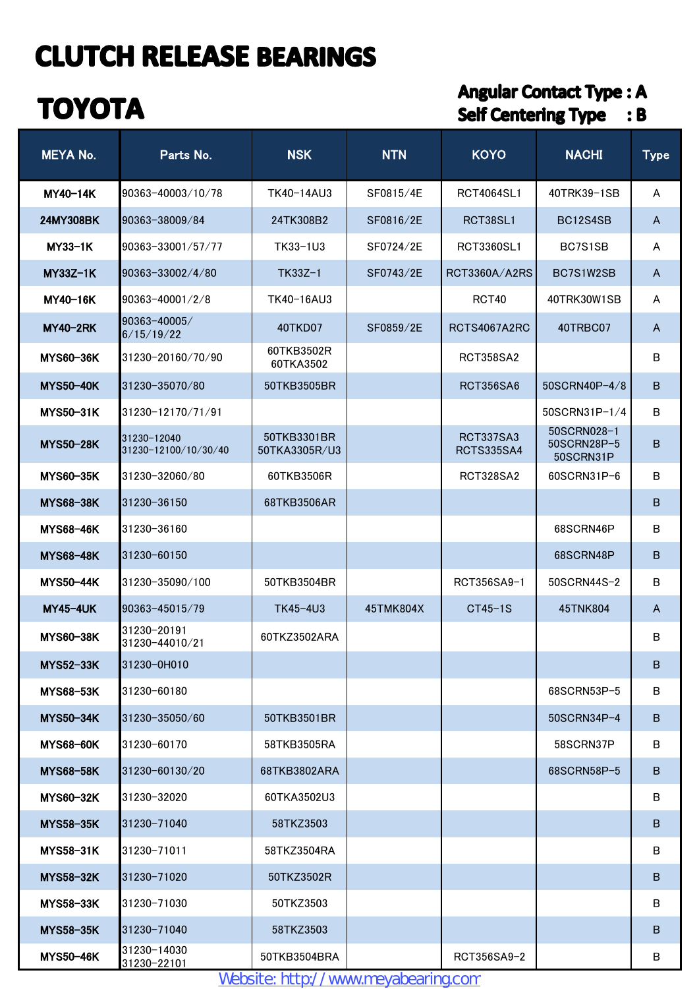## **TOYOTA**

#### **Angular Contact Type: A** Self Centering Type : B

| <b>MEYA No.</b>  | Parts No.                           | <b>NSK</b>                   | <b>NTN</b> | <b>KOYO</b>                    | <b>NACHI</b>                            | <b>Type</b>    |
|------------------|-------------------------------------|------------------------------|------------|--------------------------------|-----------------------------------------|----------------|
| MY40-14K         | 90363-40003/10/78                   | TK40-14AU3                   | SF0815/4E  | RCT4064SL1                     | 40TRK39-1SB                             | A              |
| 24MY308BK        | 90363-38009/84                      | 24TK308B2                    | SF0816/2E  | RCT38SL1                       | BC12S4SB                                | $\overline{A}$ |
| $MY33-1K$        | 90363-33001/57/77                   | TK33-1U3                     | SF0724/2E  | RCT3360SL1                     | BC7S1SB                                 | A              |
| $MY33Z-1K$       | 90363-33002/4/80                    | $TK33Z-1$                    | SF0743/2E  | RCT3360A/A2RS                  | BC7S1W2SB                               | A              |
| MY40-16K         | 90363-40001/2/8                     | TK40-16AU3                   |            | <b>RCT40</b>                   | 40TRK30W1SB                             | A              |
| <b>MY40-2RK</b>  | l90363-40005/<br>6/15/19/22         | 40TKD07                      | SF0859/2E  | RCTS4067A2RC                   | 40TRBC07                                | $\mathsf{A}$   |
| <b>MYS60-36K</b> | 31230-20160/70/90                   | 60TKB3502R<br>60TKA3502      |            | <b>RCT358SA2</b>               |                                         | B              |
| <b>MYS50-40K</b> | 31230-35070/80                      | 50TKB3505BR                  |            | <b>RCT356SA6</b>               | 50SCRN40P-4/8                           | B              |
| <b>MYS50-31K</b> | 31230-12170/71/91                   |                              |            |                                | 50SCRN31P-1/4                           | B              |
| <b>MYS50-28K</b> | 31230-12040<br>31230-12100/10/30/40 | 50TKB3301BR<br>50TKA3305R/U3 |            | RCT337SA3<br><b>RCTS335SA4</b> | 50SCRN028-1<br>50SCRN28P-5<br>50SCRN31P | B              |
| <b>MYS60-35K</b> | 31230-32060/80                      | 60TKB3506R                   |            | <b>RCT328SA2</b>               | 60SCRN31P-6                             | B              |
| <b>MYS68-38K</b> | 31230-36150                         | 68TKB3506AR                  |            |                                |                                         | B              |
| <b>MYS68-46K</b> | 31230-36160                         |                              |            |                                | 68SCRN46P                               | B              |
| <b>MYS68-48K</b> | l31230-60150                        |                              |            |                                | 68SCRN48P                               | B              |
| <b>MYS50-44K</b> | 31230-35090/100                     | 50TKB3504BR                  |            | RCT356SA9-1                    | 50SCRN44S-2                             | B              |
| <b>MY45-4UK</b>  | 90363-45015/79                      | TK45-4U3                     | 45TMK804X  | $CT45-1S$                      | 45TNK804                                | A              |
| <b>MYS60-38K</b> | 31230-20191<br>31230-44010/21       | 60TKZ3502ARA                 |            |                                |                                         | в              |
| <b>MYS52-33K</b> | 31230-0H010                         |                              |            |                                |                                         | B              |
| <b>MYS68-53K</b> | 31230-60180                         |                              |            |                                | 68SCRN53P-5                             | B              |
| <b>MYS50-34K</b> | 31230-35050/60                      | 50TKB3501BR                  |            |                                | 50SCRN34P-4                             | B              |
| <b>MYS68-60K</b> | 31230-60170                         | 58TKB3505RA                  |            |                                | 58SCRN37P                               | B              |
| <b>MYS68-58K</b> | l31230-60130/20                     | 68TKB3802ARA                 |            |                                | 68SCRN58P-5                             | B              |
| <b>MYS60-32K</b> | 31230-32020                         | 60TKA3502U3                  |            |                                |                                         | В              |
| <b>MYS58-35K</b> | 31230-71040                         | 58TKZ3503                    |            |                                |                                         | B              |
| <b>MYS58-31K</b> | 31230-71011                         | 58TKZ3504RA                  |            |                                |                                         | B              |
| <b>MYS58-32K</b> | 31230-71020                         | 50TKZ3502R                   |            |                                |                                         | B              |
| <b>MYS58-33K</b> | 31230-71030                         | 50TKZ3503                    |            |                                |                                         | B              |
| <b>MYS58-35K</b> | 31230-71040                         | 58TKZ3503                    |            |                                |                                         | B              |
| <b>MYS50-46K</b> | 31230-14030<br>31230-22101          | 50TKB3504BRA                 |            | RCT356SA9-2                    |                                         | в              |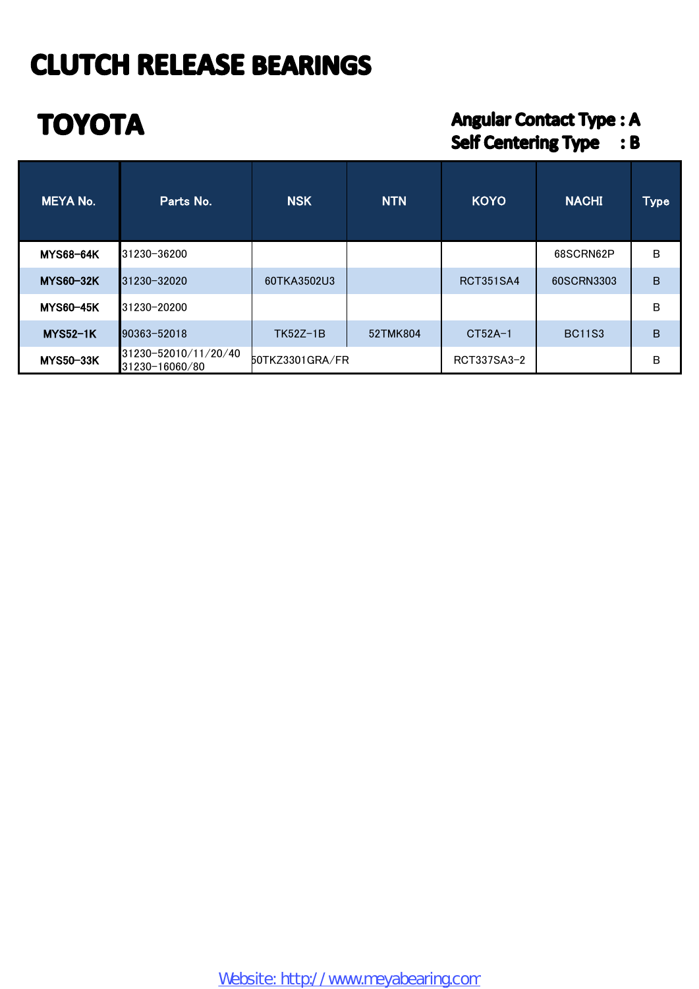# **TOYOTA**

#### **Angular Contact Type: A** Self Centering Type : B

| MEYA No.         | Parts No.                              | <b>NSK</b>      | <b>NTN</b> | <b>KOYO</b>      | <b>NACHI</b>  | <b>Type</b> |
|------------------|----------------------------------------|-----------------|------------|------------------|---------------|-------------|
| <b>MYS68-64K</b> | 31230-36200                            |                 |            |                  | 68SCRN62P     | в           |
| <b>MYS60-32K</b> | 31230-32020                            | 60TKA3502U3     |            | <b>RCT351SA4</b> | 60SCRN3303    | B           |
| <b>MYS60-45K</b> | 31230-20200                            |                 |            |                  |               | B           |
| <b>MYS52-1K</b>  | 90363-52018                            | $TK52Z-1B$      | 52TMK804   | CT52A-1          | <b>BC11S3</b> | B           |
| <b>MYS50-33K</b> | 31230-52010/11/20/40<br>31230-16060/80 | 50TKZ3301GRA/FR |            | RCT337SA3-2      |               | в           |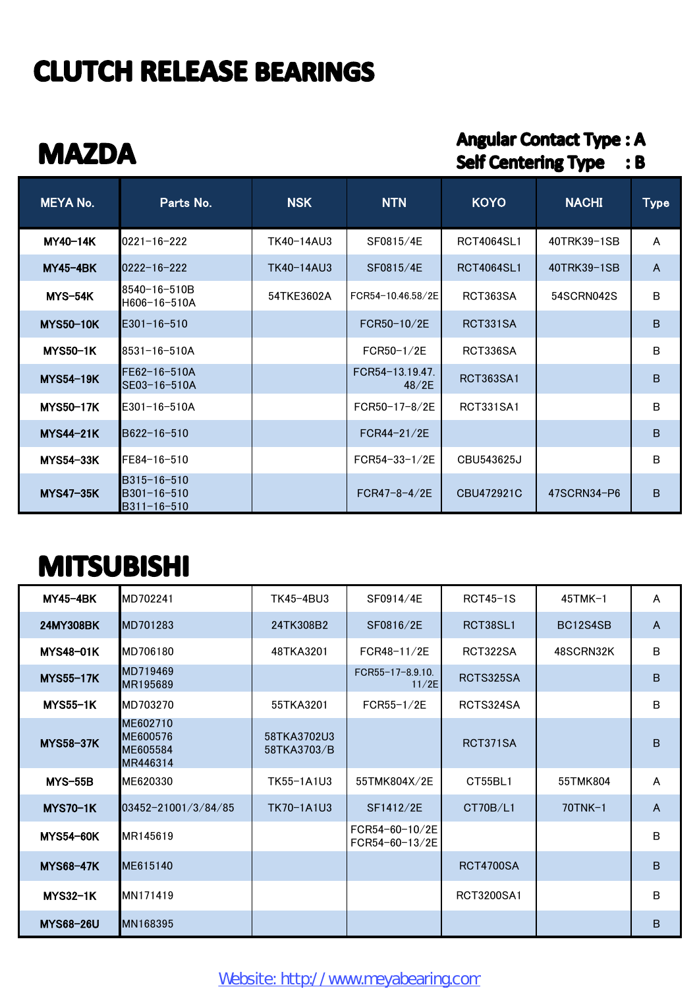### **MAZDA**

#### **Angular Contact Type: A** Self Centering Type : B

| <b>MEYA No.</b>  | Parts No.                                       | <b>NSK</b> | <b>NTN</b>               | <b>KOYO</b>       | <b>NACHI</b> | <b>Type</b>    |
|------------------|-------------------------------------------------|------------|--------------------------|-------------------|--------------|----------------|
| MY40-14K         | $0221 - 16 - 222$                               | TK40-14AU3 | SF0815/4E                | <b>RCT4064SL1</b> | 40TRK39-1SB  | A              |
| <b>MY45-4BK</b>  | $0222 - 16 - 222$                               | TK40-14AU3 | SF0815/4E                | <b>RCT4064SL1</b> | 40TRK39-1SB  | $\overline{A}$ |
| MYS-54K          | 8540-16-510B<br>H606-16-510A                    | 54TKE3602A | FCR54-10.46.58/2F        | RCT363SA          | 54SCRN042S   | B              |
| <b>MYS50-10K</b> | $E301 - 16 - 510$                               |            | FCR50-10/2E              | RCT331SA          |              | B              |
| <b>MYS50-1K</b>  | 8531-16-510A                                    |            | $FCR50-1/2E$             | RCT336SA          |              | B              |
| <b>MYS54-19K</b> | FE62-16-510A<br>SE03-16-510A                    |            | FCR54-13.19.47.<br>48/2E | RCT363SA1         |              | B              |
| <b>MYS50-17K</b> | E301-16-510A                                    |            | FCR50-17-8/2E            | RCT331SA1         |              | B              |
| <b>MYS44-21K</b> | B622-16-510                                     |            | $FCR44-21/2E$            |                   |              | B              |
| <b>MYS54-33K</b> | FE84-16-510                                     |            | $FCR54 - 33 - 1/2E$      | CBU543625J        |              | В              |
| <b>MYS47-35K</b> | B315-16-510<br>B301-16-510<br>$B311 - 16 - 510$ |            | $FCR47 - 8 - 4/2E$       | CBU472921C        | 47SCRN34-P6  | B              |

### **MITSUBISHI**

| <b>MY45-4BK</b>  | MD702241                                     | TK45-4BU3                  | SF0914/4E                        | $RCT45-1S$       | $45TMK-1$     | A              |
|------------------|----------------------------------------------|----------------------------|----------------------------------|------------------|---------------|----------------|
| <b>24MY308BK</b> | MD701283                                     | 24TK308B2                  | SF0816/2E                        | RCT38SL1         | BC12S4SB      | $\overline{A}$ |
| <b>MYS48-01K</b> | MD706180                                     | 48TKA3201                  | FCR48-11/2E                      | RCT322SA         | 48SCRN32K     | B              |
| <b>MYS55-17K</b> | MD719469<br>MR195689                         |                            | FCR55-17-8.9.10.<br>11/2E        | RCTS325SA        |               | B              |
| <b>MYS55-1K</b>  | MD703270                                     | 55TKA3201                  | $FCR55-1/2E$                     | RCTS324SA        |               | B              |
| <b>MYS58-37K</b> | ME602710<br>ME600576<br>ME605584<br>MR446314 | 58TKA3702U3<br>58TKA3703/B |                                  | RCT371SA         |               | B              |
| <b>MYS-55B</b>   | ME620330                                     | TK55-1A1U3                 | 55TMK804X/2E                     | CT55BL1          | 55TMK804      | A              |
| <b>MYS70-1K</b>  | 03452-21001/3/84/85                          | TK70-1A1U3                 | SF1412/2E                        | CT70B/L1         | $70$ TNK $-1$ | $\mathsf{A}$   |
| <b>MYS54-60K</b> | MR145619                                     |                            | FCR54-60-10/2E<br>FCR54-60-13/2E |                  |               | B              |
| <b>MYS68-47K</b> | ME615140                                     |                            |                                  | <b>RCT4700SA</b> |               | B              |
| <b>MYS32-1K</b>  | MN171419                                     |                            |                                  | RCT3200SA1       |               | B              |
| <b>MYS68-26U</b> | MN168395                                     |                            |                                  |                  |               | B              |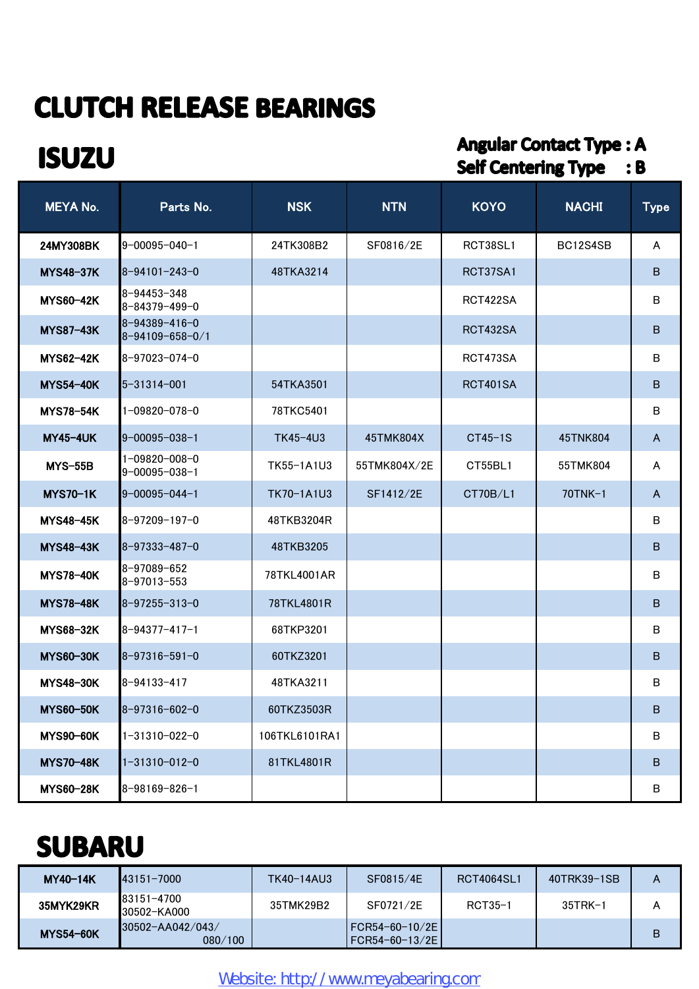#### **ISUZU**

#### **Angular Contact Type: A** Self Centering Type : B

| <b>MEYA No.</b>  | Parts No.                                        | <b>NSK</b>    | <b>NTN</b>   | <b>KOYO</b> | <b>NACHI</b> | <b>Type</b>  |
|------------------|--------------------------------------------------|---------------|--------------|-------------|--------------|--------------|
| 24MY308BK        | $9 - 00095 - 040 - 1$                            | 24TK308B2     | SF0816/2E    | RCT38SL1    | BC12S4SB     | A            |
| <b>MYS48-37K</b> | $8 - 94101 - 243 - 0$                            | 48TKA3214     |              | RCT37SA1    |              | B            |
| <b>MYS60-42K</b> | 8-94453-348<br>8-84379-499-0                     |               |              | RCT422SA    |              | B            |
| <b>MYS87-43K</b> | $8 - 94389 - 416 - 0$<br>$8 - 94109 - 658 - 0/1$ |               |              | RCT432SA    |              | B            |
| <b>MYS62-42K</b> | 8-97023-074-0                                    |               |              | RCT473SA    |              | B            |
| <b>MYS54-40K</b> | $5 - 31314 - 001$                                | 54TKA3501     |              | RCT401SA    |              | B            |
| <b>MYS78-54K</b> | $1 - 09820 - 078 - 0$                            | 78TKC5401     |              |             |              | B            |
| <b>MY45-4UK</b>  | $9 - 00095 - 038 - 1$                            | TK45-4U3      | 45TMK804X    | $CT45-1S$   | 45TNK804     | $\mathsf{A}$ |
| <b>MYS-55B</b>   | $1 - 09820 - 008 - 0$<br>$9 - 00095 - 038 - 1$   | TK55-1A1U3    | 55TMK804X/2E | CT55BL1     | 55TMK804     | A            |
| <b>MYS70-1K</b>  | $9 - 00095 - 044 - 1$                            | TK70-1A1U3    | SF1412/2E    | CT70B/L1    | 70TNK-1      | $\mathsf{A}$ |
| <b>MYS48-45K</b> | 8-97209-197-0                                    | 48TKB3204R    |              |             |              | B            |
| <b>MYS48-43K</b> | $8 - 97333 - 487 - 0$                            | 48TKB3205     |              |             |              | B            |
| <b>MYS78-40K</b> | 8-97089-652<br>8-97013-553                       | 78TKL4001AR   |              |             |              | B            |
| <b>MYS78-48K</b> | $8 - 97255 - 313 - 0$                            | 78TKL4801R    |              |             |              | B            |
| <b>MYS68-32K</b> | $8 - 94377 - 417 - 1$                            | 68TKP3201     |              |             |              | B            |
| <b>MYS60-30K</b> | $8 - 97316 - 591 - 0$                            | 60TKZ3201     |              |             |              | B            |
| <b>MYS48-30K</b> | 8-94133-417                                      | 48TKA3211     |              |             |              | B            |
| <b>MYS60-50K</b> | $8 - 97316 - 602 - 0$                            | 60TKZ3503R    |              |             |              | В            |
| <b>MYS90-60K</b> | 1-31310-022-0                                    | 106TKL6101RA1 |              |             |              | B            |
| <b>MYS70-48K</b> | $1 - 31310 - 012 - 0$                            | 81TKL4801R    |              |             |              | $\sf B$      |
| <b>MYS60-28K</b> | $8 - 98169 - 826 - 1$                            |               |              |             |              | В            |

### **SUBARU**

| <b>MY40-14K</b>  | <b>43151-7000</b>           | TK40-14AU3 | SF0815/4E                            | RCT4064SL1 | 40TRK39-1SB | A |
|------------------|-----------------------------|------------|--------------------------------------|------------|-------------|---|
| 35MYK29KR        | 83151-4700<br>30502-KA000   | 35TMK29B2  | SF0721/2E                            | RCT35-1    | $35TRK-1$   | A |
| <b>MYS54-60K</b> | 30502-AA042/043/<br>080/100 |            | FCR54-60-10/2E  <br>  FCR54-60-13/2E |            |             | B |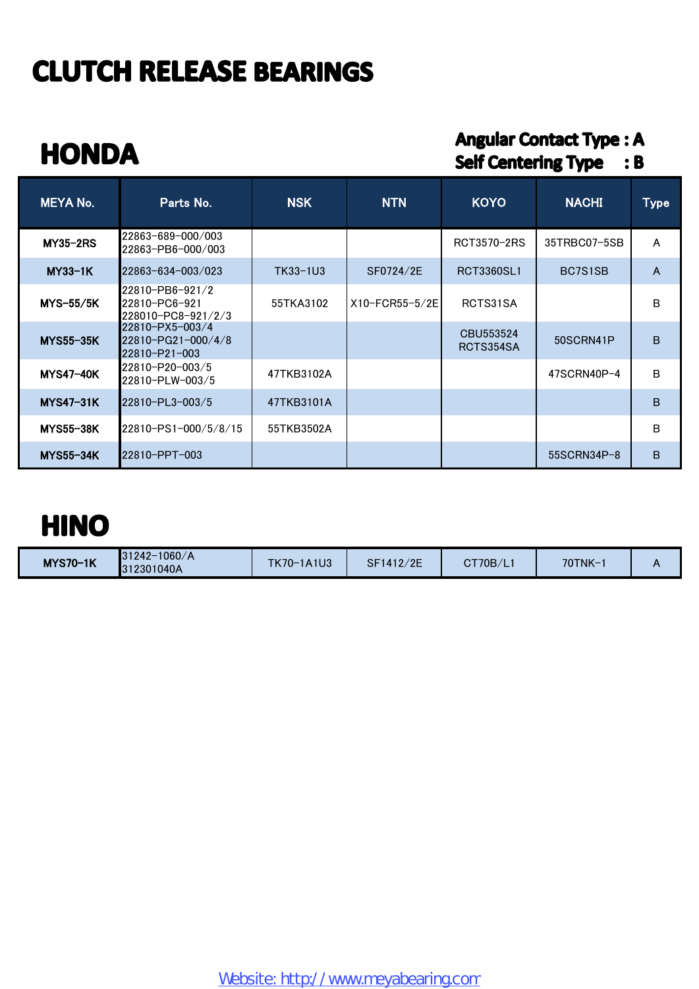## **HONDA**

#### **Angular Contact Type: A** Self Centering Type : B

| <b>MEYA No.</b>  | Parts No.                                              | <b>NSK</b> | <b>NTN</b>     | <b>KOYO</b>            | <b>NACHI</b>  | <b>Type</b> |
|------------------|--------------------------------------------------------|------------|----------------|------------------------|---------------|-------------|
| <b>MY35-2RS</b>  | 22863-689-000/003<br>22863-PB6-000/003                 |            |                | RCT3570-2RS            | 35TRBC07-5SB  | A           |
| $MY33-1K$        | 22863-634-003/023                                      | TK33-1U3   | SF0724/2E      | RCT3360SL1             | BC7S1SB       | A           |
| $MYS-55/5K$      | 22810-PB6-921/2<br>22810-PC6-921<br>228010-PC8-921/2/3 | 55TKA3102  | X10-FCR55-5/2E | RCTS31SA               |               | B           |
| <b>MYS55-35K</b> | 22810-PX5-003/4<br>22810-PG21-000/4/8<br>22810-P21-003 |            |                | CBU553524<br>RCTS354SA | 50SCRN41P     | B           |
| <b>MYS47-40K</b> | 22810-P20-003/5<br>22810-PLW-003/5                     | 47TKB3102A |                |                        | 47SCRN40P-4   | B           |
| <b>MYS47-31K</b> | 22810-PL3-003/5                                        | 47TKB3101A |                |                        |               | B           |
| <b>MYS55-38K</b> | 22810-PS1-000/5/8/15                                   | 55TKB3502A |                |                        |               | B           |
| <b>MYS55-34K</b> | 22810-PPT-003                                          |            |                |                        | $55SCRN34P-8$ | B           |

#### **HINO**

| <b>MYS70-1K</b> | $31242 - 1060/A$<br>312301040A | TK70-1A1U3 | SF1412/2E | $\text{CT70B/L}$ | 70TNK- |  |
|-----------------|--------------------------------|------------|-----------|------------------|--------|--|